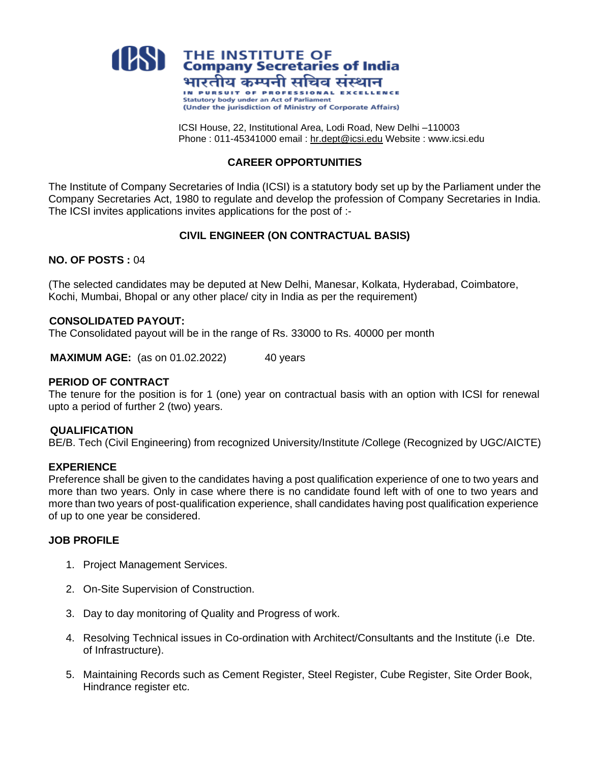

ICSI House, 22, Institutional Area, Lodi Road, New Delhi –110003 Phone : 011-45341000 email : [hr.dept@icsi.edu](mailto:gaurav.mehta@icsi.edu) Website : www.icsi.edu

## **CAREER OPPORTUNITIES**

The Institute of Company Secretaries of India (ICSI) is a statutory body set up by the Parliament under the Company Secretaries Act, 1980 to regulate and develop the profession of Company Secretaries in India. The ICSI invites applications invites applications for the post of :-

# **CIVIL ENGINEER (ON CONTRACTUAL BASIS)**

# **NO. OF POSTS :** 04

(The selected candidates may be deputed at New Delhi, Manesar, Kolkata, Hyderabad, Coimbatore, Kochi, Mumbai, Bhopal or any other place/ city in India as per the requirement)

## **CONSOLIDATED PAYOUT:**

The Consolidated payout will be in the range of Rs. 33000 to Rs. 40000 per month

**MAXIMUM AGE:** (as on 01.02.2022) 40 years

#### **PERIOD OF CONTRACT**

The tenure for the position is for 1 (one) year on contractual basis with an option with ICSI for renewal upto a period of further 2 (two) years.

#### **QUALIFICATION**

BE/B. Tech (Civil Engineering) from recognized University/Institute /College (Recognized by UGC/AICTE)

#### **EXPERIENCE**

Preference shall be given to the candidates having a post qualification experience of one to two years and more than two years. Only in case where there is no candidate found left with of one to two years and more than two years of post-qualification experience, shall candidates having post qualification experience of up to one year be considered.

## **JOB PROFILE**

- 1. Project Management Services.
- 2. On-Site Supervision of Construction.
- 3. Day to day monitoring of Quality and Progress of work.
- 4. Resolving Technical issues in Co-ordination with Architect/Consultants and the Institute (i.e Dte. of Infrastructure).
- 5. Maintaining Records such as Cement Register, Steel Register, Cube Register, Site Order Book, Hindrance register etc.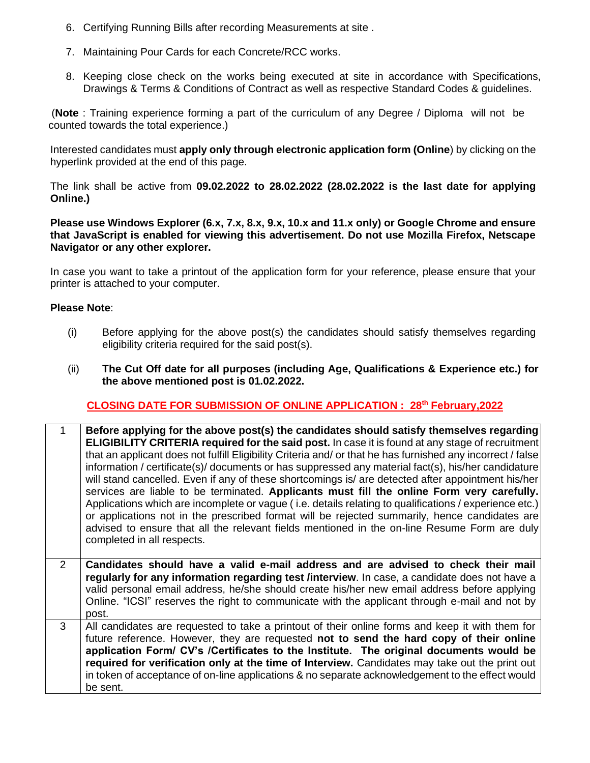- 6. Certifying Running Bills after recording Measurements at site .
- 7. Maintaining Pour Cards for each Concrete/RCC works.
- 8. Keeping close check on the works being executed at site in accordance with Specifications, Drawings & Terms & Conditions of Contract as well as respective Standard Codes & guidelines.

(**Note** : Training experience forming a part of the curriculum of any Degree / Diploma will not be counted towards the total experience.)

Interested candidates must **apply only through electronic application form (Online**) by clicking on the hyperlink provided at the end of this page.

The link shall be active from **09.02.2022 to 28.02.2022 (28.02.2022 is the last date for applying Online.)**

**Please use Windows Explorer (6.x, 7.x, 8.x, 9.x, 10.x and 11.x only) or Google Chrome and ensure that JavaScript is enabled for viewing this advertisement. Do not use Mozilla Firefox, Netscape Navigator or any other explorer.** 

In case you want to take a printout of the application form for your reference, please ensure that your printer is attached to your computer.

## **Please Note**:

- (i) Before applying for the above post(s) the candidates should satisfy themselves regarding eligibility criteria required for the said post(s).
- (ii) **The Cut Off date for all purposes (including Age, Qualifications & Experience etc.) for the above mentioned post is 01.02.2022.**

# **CLOSING DATE FOR SUBMISSION OF ONLINE APPLICATION : 28th February,2022**

| 1              | Before applying for the above post(s) the candidates should satisfy themselves regarding<br><b>ELIGIBILITY CRITERIA required for the said post.</b> In case it is found at any stage of recruitment<br>that an applicant does not fulfill Eligibility Criteria and/ or that he has furnished any incorrect / false<br>information / certificate(s)/ documents or has suppressed any material fact(s), his/her candidature<br>will stand cancelled. Even if any of these shortcomings is/ are detected after appointment his/her<br>services are liable to be terminated. Applicants must fill the online Form very carefully.<br>Applications which are incomplete or vague (i.e. details relating to qualifications / experience etc.)<br>or applications not in the prescribed format will be rejected summarily, hence candidates are<br>advised to ensure that all the relevant fields mentioned in the on-line Resume Form are duly<br>completed in all respects. |
|----------------|------------------------------------------------------------------------------------------------------------------------------------------------------------------------------------------------------------------------------------------------------------------------------------------------------------------------------------------------------------------------------------------------------------------------------------------------------------------------------------------------------------------------------------------------------------------------------------------------------------------------------------------------------------------------------------------------------------------------------------------------------------------------------------------------------------------------------------------------------------------------------------------------------------------------------------------------------------------------|
| $\overline{2}$ | Candidates should have a valid e-mail address and are advised to check their mail<br>regularly for any information regarding test /interview. In case, a candidate does not have a<br>valid personal email address, he/she should create his/her new email address before applying<br>Online. "ICSI" reserves the right to communicate with the applicant through e-mail and not by<br>post.                                                                                                                                                                                                                                                                                                                                                                                                                                                                                                                                                                           |
| 3              | All candidates are requested to take a printout of their online forms and keep it with them for<br>future reference. However, they are requested not to send the hard copy of their online<br>application Form/ CV's /Certificates to the Institute. The original documents would be<br>required for verification only at the time of Interview. Candidates may take out the print out<br>in token of acceptance of on-line applications & no separate acknowledgement to the effect would<br>be sent.                                                                                                                                                                                                                                                                                                                                                                                                                                                                 |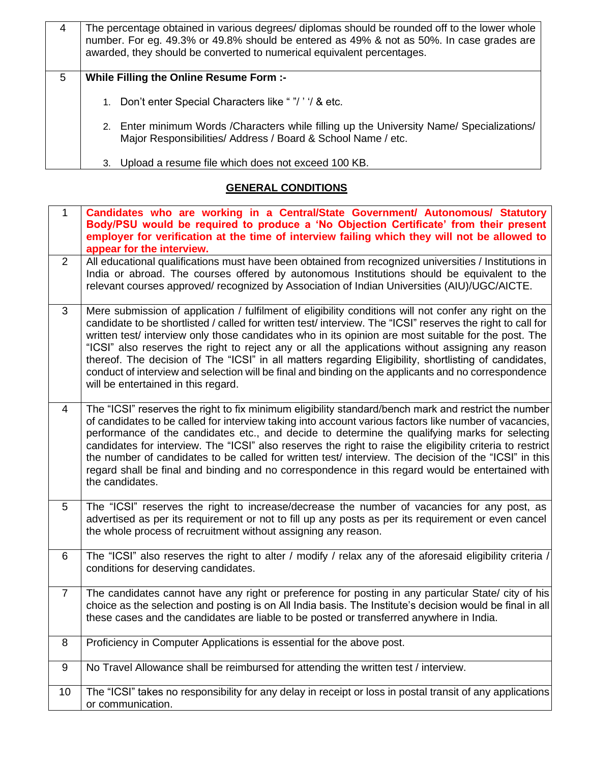| 4 | The percentage obtained in various degrees/ diplomas should be rounded off to the lower whole<br>number. For eg. 49.3% or 49.8% should be entered as 49% & not as 50%. In case grades are<br>awarded, they should be converted to numerical equivalent percentages. |
|---|---------------------------------------------------------------------------------------------------------------------------------------------------------------------------------------------------------------------------------------------------------------------|
| 5 | While Filling the Online Resume Form :-                                                                                                                                                                                                                             |
|   | 1. Don't enter Special Characters like ""/" / & etc.                                                                                                                                                                                                                |
|   | 2. Enter minimum Words / Characters while filling up the University Name/ Specializations/<br>Major Responsibilities/ Address / Board & School Name / etc.                                                                                                          |
|   | Upload a resume file which does not exceed 100 KB.                                                                                                                                                                                                                  |

# **GENERAL CONDITIONS**

| $\mathbf 1$    | Candidates who are working in a Central/State Government/ Autonomous/ Statutory<br>Body/PSU would be required to produce a 'No Objection Certificate' from their present<br>employer for verification at the time of interview failing which they will not be allowed to<br>appear for the interview.                                                                                                                                                                                                                                                                                                                                                                                      |
|----------------|--------------------------------------------------------------------------------------------------------------------------------------------------------------------------------------------------------------------------------------------------------------------------------------------------------------------------------------------------------------------------------------------------------------------------------------------------------------------------------------------------------------------------------------------------------------------------------------------------------------------------------------------------------------------------------------------|
| $\overline{2}$ | All educational qualifications must have been obtained from recognized universities / Institutions in<br>India or abroad. The courses offered by autonomous Institutions should be equivalent to the<br>relevant courses approved/ recognized by Association of Indian Universities (AIU)/UGC/AICTE.                                                                                                                                                                                                                                                                                                                                                                                       |
| 3              | Mere submission of application / fulfilment of eligibility conditions will not confer any right on the<br>candidate to be shortlisted / called for written test/ interview. The "ICSI" reserves the right to call for<br>written test/ interview only those candidates who in its opinion are most suitable for the post. The<br>"ICSI" also reserves the right to reject any or all the applications without assigning any reason<br>thereof. The decision of The "ICSI" in all matters regarding Eligibility, shortlisting of candidates,<br>conduct of interview and selection will be final and binding on the applicants and no correspondence<br>will be entertained in this regard. |
| 4              | The "ICSI" reserves the right to fix minimum eligibility standard/bench mark and restrict the number<br>of candidates to be called for interview taking into account various factors like number of vacancies,<br>performance of the candidates etc., and decide to determine the qualifying marks for selecting<br>candidates for interview. The "ICSI" also reserves the right to raise the eligibility criteria to restrict<br>the number of candidates to be called for written test/ interview. The decision of the "ICSI" in this<br>regard shall be final and binding and no correspondence in this regard would be entertained with<br>the candidates.                             |
| 5              | The "ICSI" reserves the right to increase/decrease the number of vacancies for any post, as<br>advertised as per its requirement or not to fill up any posts as per its requirement or even cancel<br>the whole process of recruitment without assigning any reason.                                                                                                                                                                                                                                                                                                                                                                                                                       |
| 6              | The "ICSI" also reserves the right to alter / modify / relax any of the aforesaid eligibility criteria /<br>conditions for deserving candidates.                                                                                                                                                                                                                                                                                                                                                                                                                                                                                                                                           |
| $\overline{7}$ | The candidates cannot have any right or preference for posting in any particular State/ city of his<br>choice as the selection and posting is on All India basis. The Institute's decision would be final in all<br>these cases and the candidates are liable to be posted or transferred anywhere in India.                                                                                                                                                                                                                                                                                                                                                                               |
| 8              | Proficiency in Computer Applications is essential for the above post.                                                                                                                                                                                                                                                                                                                                                                                                                                                                                                                                                                                                                      |
| 9              | No Travel Allowance shall be reimbursed for attending the written test / interview.                                                                                                                                                                                                                                                                                                                                                                                                                                                                                                                                                                                                        |
| 10             | The "ICSI" takes no responsibility for any delay in receipt or loss in postal transit of any applications<br>or communication.                                                                                                                                                                                                                                                                                                                                                                                                                                                                                                                                                             |